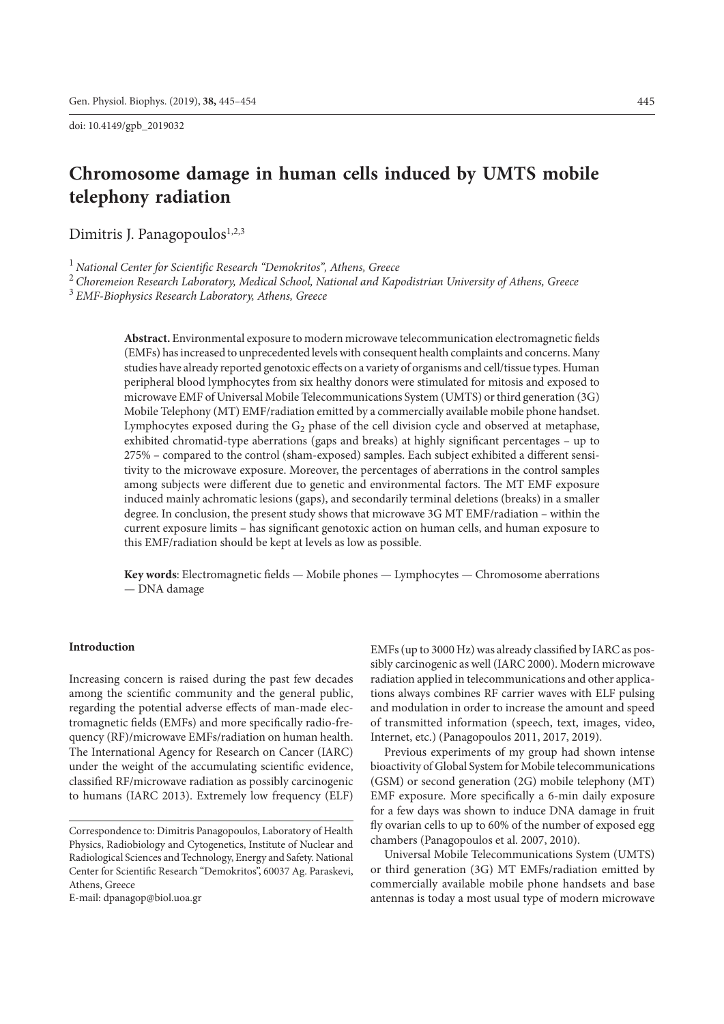doi: 10.4149/gpb\_2019032

# **Chromosome damage in human cells induced by UMTS mobile telephony radiation**

Dimitris J. Panagopoulos<sup>1,2,3</sup>

<sup>1</sup> *National Center for Scientific Research "Demokritos", Athens, Greece*

<sup>2</sup> *Choremeion Research Laboratory, Medical School, National and Kapodistrian University of Athens, Greece*

<sup>3</sup> *EMF-Biophysics Research Laboratory, Athens, Greece*

**Abstract.** Environmental exposure to modern microwave telecommunication electromagnetic fields (EMFs) has increased to unprecedented levels with consequent health complaints and concerns. Many studies have already reported genotoxic effects on a variety of organisms and cell/tissue types. Human peripheral blood lymphocytes from six healthy donors were stimulated for mitosis and exposed to microwave EMF of Universal Mobile Telecommunications System (UMTS) or third generation (3G) Mobile Telephony (MT) EMF/radiation emitted by a commercially available mobile phone handset. Lymphocytes exposed during the  $G_2$  phase of the cell division cycle and observed at metaphase, exhibited chromatid-type aberrations (gaps and breaks) at highly significant percentages – up to 275% – compared to the control (sham-exposed) samples. Each subject exhibited a different sensitivity to the microwave exposure. Moreover, the percentages of aberrations in the control samples among subjects were different due to genetic and environmental factors. The MT EMF exposure induced mainly achromatic lesions (gaps), and secondarily terminal deletions (breaks) in a smaller degree. In conclusion, the present study shows that microwave 3G MT EMF/radiation – within the current exposure limits – has significant genotoxic action on human cells, and human exposure to this EMF/radiation should be kept at levels as low as possible.

**Key words**: Electromagnetic fields — Mobile phones — Lymphocytes — Chromosome aberrations — DNA damage

#### **Introduction**

Increasing concern is raised during the past few decades among the scientific community and the general public, regarding the potential adverse effects of man-made electromagnetic fields (EMFs) and more specifically radio-frequency (RF)/microwave EMFs/radiation on human health. Τhe International Agency for Research on Cancer (IARC) under the weight of the accumulating scientific evidence, classified RF/microwave radiation as possibly carcinogenic to humans (IARC 2013). Extremely low frequency (ELF)

E-mail: dpanagop@biol.uoa.gr

EMFs (up to 3000 Hz) was already classified by IARC as possibly carcinogenic as well (IARC 2000). Modern microwave radiation applied in telecommunications and other applications always combines RF carrier waves with ELF pulsing and modulation in order to increase the amount and speed of transmitted information (speech, text, images, video, Internet, etc.) (Panagopoulos 2011, 2017, 2019).

Previous experiments of my group had shown intense bioactivity of Global System for Mobile telecommunications (GSM) or second generation (2G) mobile telephony (MT) EMF exposure. More specifically a 6-min daily exposure for a few days was shown to induce DNA damage in fruit fly ovarian cells to up to 60% of the number of exposed egg chambers (Panagopoulos et al. 2007, 2010).

Universal Mobile Telecommunications System (UMTS) or third generation (3G) MT EMFs/radiation emitted by commercially available mobile phone handsets and base antennas is today a most usual type of modern microwave

Correspondence to: Dimitris Panagopoulos, Laboratory of Health Physics, Radiobiology and Cytogenetics, Institute of Nuclear and Radiological Sciences and Technology, Energy and Safety. National Center for Scientific Research "Demokritos", 60037 Ag. Paraskevi, Athens, Greece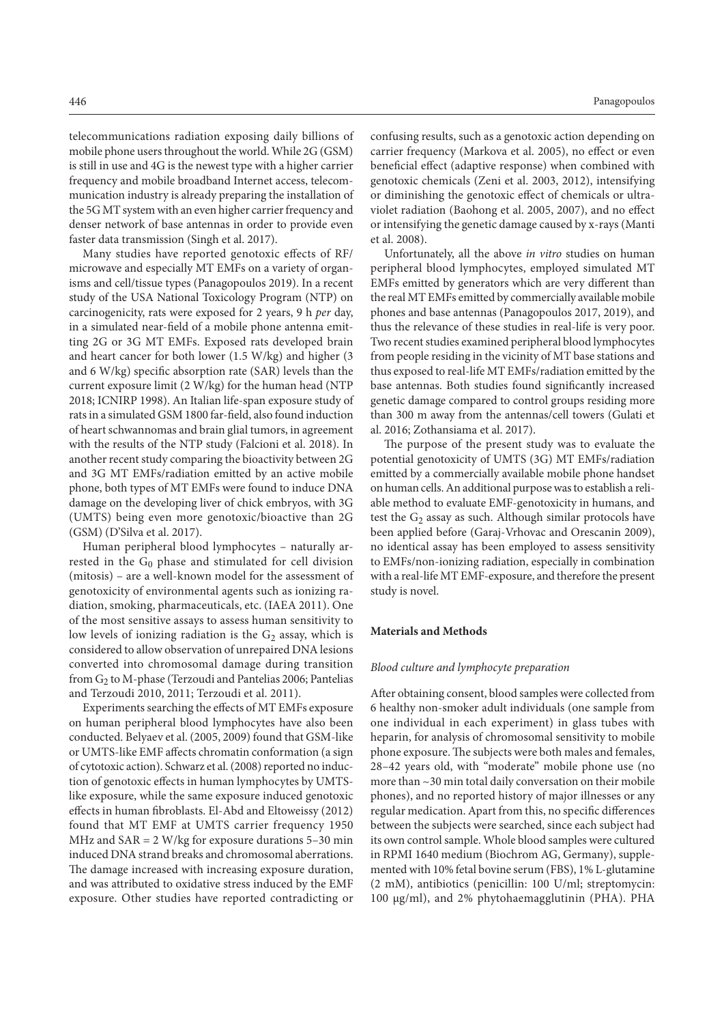telecommunications radiation exposing daily billions of mobile phone users throughout the world. While 2G (GSM) is still in use and 4G is the newest type with a higher carrier frequency and mobile broadband Internet access, telecommunication industry is already preparing the installation of the 5G MT system with an even higher carrier frequency and denser network of base antennas in order to provide even faster data transmission (Singh et al. 2017).

Many studies have reported genotoxic effects of RF/ microwave and especially MT EMFs on a variety of organisms and cell/tissue types (Panagopoulos 2019). In a recent study of the USA National Toxicology Program (NTP) on carcinogenicity, rats were exposed for 2 years, 9 h *per* day, in a simulated near-field of a mobile phone antenna emitting 2G or 3G MT EMFs. Exposed rats developed brain and heart cancer for both lower (1.5 W/kg) and higher (3 and 6 W/kg) specific absorption rate (SAR) levels than the current exposure limit (2 W/kg) for the human head (NTP 2018; ICNIRP 1998). An Italian life-span exposure study of rats in a simulated GSM 1800 far-field, also found induction of heart schwannomas and brain glial tumors, in agreement with the results of the NTP study (Falcioni et al. 2018). In another recent study comparing the bioactivity between 2G and 3G MT EMFs/radiation emitted by an active mobile phone, both types of MT EMFs were found to induce DNA damage on the developing liver of chick embryos, with 3G (UMTS) being even more genotoxic/bioactive than 2G (GSM) (D'Silva et al. 2017).

Human peripheral blood lymphocytes – naturally arrested in the  $G_0$  phase and stimulated for cell division (mitosis) – are a well-known model for the assessment of genotoxicity of environmental agents such as ionizing radiation, smoking, pharmaceuticals, etc. (IAEA 2011). One of the most sensitive assays to assess human sensitivity to low levels of ionizing radiation is the G<sub>2</sub> assay, which is considered to allow observation of unrepaired DNA lesions converted into chromosomal damage during transition from  $G_2$  to M-phase (Terzoudi and Pantelias 2006; Pantelias and Terzoudi 2010, 2011; Terzoudi et al. 2011).

Experiments searching the effects of MT EMFs exposure on human peripheral blood lymphocytes have also been conducted. Belyaev et al. (2005, 2009) found that GSM-like or UMTS-like EMF affects chromatin conformation (a sign of cytotoxic action). Schwarz et al. (2008) reported no induction of genotoxic effects in human lymphocytes by UMTSlike exposure, while the same exposure induced genotoxic effects in human fibroblasts. El-Abd and Eltoweissy (2012) found that MT EMF at UMTS carrier frequency 1950 MHz and SAR = 2 W/kg for exposure durations 5–30 min induced DNA strand breaks and chromosomal aberrations. The damage increased with increasing exposure duration, and was attributed to oxidative stress induced by the EMF exposure. Other studies have reported contradicting or

confusing results, such as a genotoxic action depending on carrier frequency (Markova et al. 2005), no effect or even beneficial effect (adaptive response) when combined with genotoxic chemicals (Zeni et al. 2003, 2012), intensifying or diminishing the genotoxic effect of chemicals or ultraviolet radiation (Baohong et al. 2005, 2007), and no effect or intensifying the genetic damage caused by x-rays (Manti et al. 2008).

Unfortunately, all the above *in vitro* studies on human peripheral blood lymphocytes, employed simulated MT EMFs emitted by generators which are very different than the real MT EMFs emitted by commercially available mobile phones and base antennas (Panagopoulos 2017, 2019), and thus the relevance of these studies in real-life is very poor. Two recent studies examined peripheral blood lymphocytes from people residing in the vicinity of MT base stations and thus exposed to real-life MT EMFs/radiation emitted by the base antennas. Both studies found significantly increased genetic damage compared to control groups residing more than 300 m away from the antennas/cell towers (Gulati et al. 2016; Zothansiama et al. 2017).

The purpose of the present study was to evaluate the potential genotoxicity of UMTS (3G) MT EMFs/radiation emitted by a commercially available mobile phone handset on human cells. An additional purpose was to establish a reliable method to evaluate EMF-genotoxicity in humans, and test the  $G_2$  assay as such. Although similar protocols have been applied before (Garaj-Vrhovac and Orescanin 2009), no identical assay has been employed to assess sensitivity to EMFs/non-ionizing radiation, especially in combination with a real-life MT EMF-exposure, and therefore the present study is novel.

## **Materials and Methods**

#### *Blood culture and lymphocyte preparation*

After obtaining consent, blood samples were collected from 6 healthy non-smoker adult individuals (one sample from one individual in each experiment) in glass tubes with heparin, for analysis of chromosomal sensitivity to mobile phone exposure. The subjects were both males and females, 28–42 years old, with "moderate" mobile phone use (no more than ~30 min total daily conversation on their mobile phones), and no reported history of major illnesses or any regular medication. Apart from this, no specific differences between the subjects were searched, since each subject had its own control sample. Whole blood samples were cultured in RPMI 1640 medium (Biochrom AG, Germany), supplemented with 10% fetal bovine serum (FBS), 1% L-glutamine (2 mM), antibiotics (penicillin: 100 U/ml; streptomycin: 100 μg/ml), and 2% phytohaemagglutinin (PHA). PHA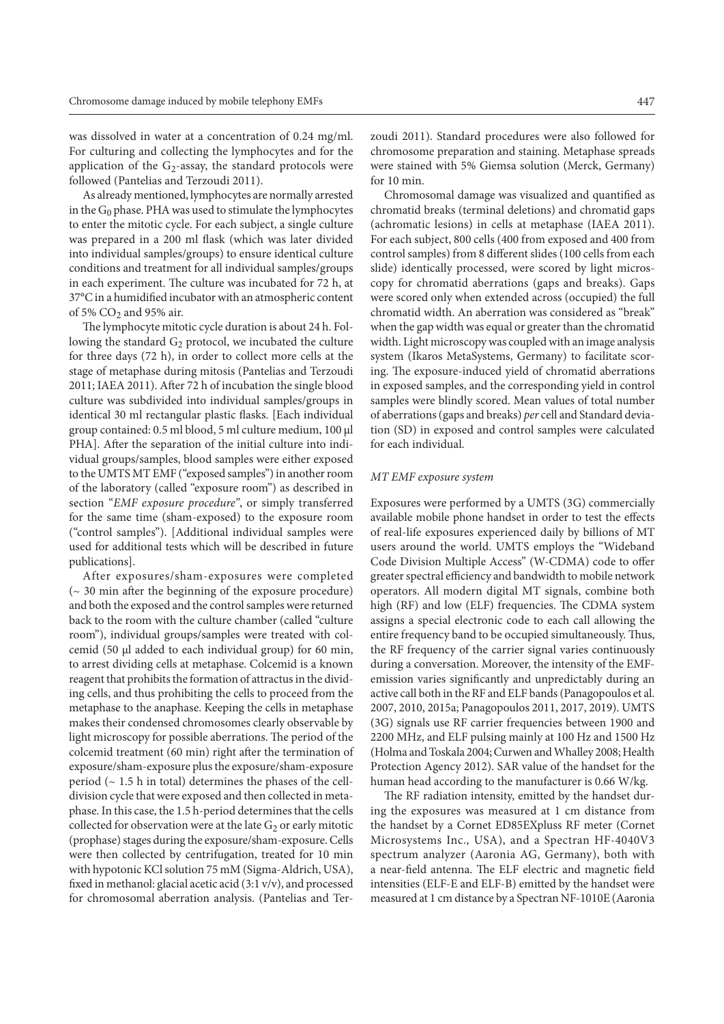was dissolved in water at a concentration of 0.24 mg/ml. For culturing and collecting the lymphocytes and for the application of the  $G_2$ -assay, the standard protocols were followed (Pantelias and Terzoudi 2011).

As already mentioned, lymphocytes are normally arrested in the  $G_0$  phase. PHA was used to stimulate the lymphocytes to enter the mitotic cycle. For each subject, a single culture was prepared in a 200 ml flask (which was later divided into individual samples/groups) to ensure identical culture conditions and treatment for all individual samples/groups in each experiment. The culture was incubated for 72 h, at 37°C in a humidified incubator with an atmospheric content of 5%  $CO<sub>2</sub>$  and 95% air.

The lymphocyte mitotic cycle duration is about 24 h. Following the standard  $G_2$  protocol, we incubated the culture for three days (72 h), in order to collect more cells at the stage of metaphase during mitosis (Pantelias and Terzoudi 2011; IAEA 2011). After 72 h of incubation the single blood culture was subdivided into individual samples/groups in identical 30 ml rectangular plastic flasks. [Each individual group contained: 0.5 ml blood, 5 ml culture medium, 100 μl PHA]. After the separation of the initial culture into individual groups/samples, blood samples were either exposed to the UMTS MT EMF ("exposed samples") in another room of the laboratory (called "exposure room") as described in section "*EMF exposure procedure"*, or simply transferred for the same time (sham-exposed) to the exposure room ("control samples"). [Additional individual samples were used for additional tests which will be described in future publications].

After exposures/sham-exposures were completed (~ 30 min after the beginning of the exposure procedure) and both the exposed and the control samples were returned back to the room with the culture chamber (called "culture room"), individual groups/samples were treated with colcemid (50 μl added to each individual group) for 60 min, to arrest dividing cells at metaphase. Colcemid is a known reagent that prohibits the formation of attractus in the dividing cells, and thus prohibiting the cells to proceed from the metaphase to the anaphase. Keeping the cells in metaphase makes their condensed chromosomes clearly observable by light microscopy for possible aberrations. The period of the colcemid treatment (60 min) right after the termination of exposure/sham-exposure plus the exposure/sham-exposure period ( $\sim$  1.5 h in total) determines the phases of the celldivision cycle that were exposed and then collected in metaphase. In this case, the 1.5 h-period determines that the cells collected for observation were at the late  $G_2$  or early mitotic (prophase) stages during the exposure/sham-exposure. Cells were then collected by centrifugation, treated for 10 min with hypotonic KCl solution 75 mM (Sigma-Aldrich, USA), fixed in methanol: glacial acetic acid (3:1 v/v), and processed for chromosomal aberration analysis. (Pantelias and Terzoudi 2011). Standard procedures were also followed for chromosome preparation and staining. Metaphase spreads were stained with 5% Giemsa solution (Merck, Germany) for 10 min.

Chromosomal damage was visualized and quantified as chromatid breaks (terminal deletions) and chromatid gaps (achromatic lesions) in cells at metaphase (IAEA 2011). For each subject, 800 cells (400 from exposed and 400 from control samples) from 8 different slides (100 cells from each slide) identically processed, were scored by light microscopy for chromatid aberrations (gaps and breaks). Gaps were scored only when extended across (occupied) the full chromatid width. An aberration was considered as "break" when the gap width was equal or greater than the chromatid width. Light microscopy was coupled with an image analysis system (Ikaros MetaSystems, Germany) to facilitate scoring. The exposure-induced yield of chromatid aberrations in exposed samples, and the corresponding yield in control samples were blindly scored. Mean values of total number of aberrations (gaps and breaks) *per* cell and Standard deviation (SD) in exposed and control samples were calculated for each individual.

#### *MT EMF exposure system*

Exposures were performed by a UMTS (3G) commercially available mobile phone handset in order to test the effects of real-life exposures experienced daily by billions of MT users around the world. UMTS employs the ["Wideband](http://en.wikipedia.org/wiki/Wideband_code_division_multiple_access)  [Code Division Multiple Access"](http://en.wikipedia.org/wiki/Wideband_code_division_multiple_access) (W-CDMA) code to offer greater spectral efficiency and bandwidth to mobile network operators. All modern digital MT signals, combine both high (RF) and low (ELF) frequencies. The CDMA system assigns a special electronic code to each call allowing the entire frequency band to be occupied simultaneously. Thus, the RF frequency of the carrier signal varies continuously during a conversation. Moreover, the intensity of the EMFemission varies significantly and unpredictably during an active call both in the RF and ELF bands (Panagopoulos et al. 2007, 2010, 2015a; Panagopoulos 2011, 2017, 2019). UMTS (3G) signals use RF carrier frequencies between 1900 and 2200 MHz, and ELF pulsing mainly at 100 Hz and 1500 Hz (Holma and Toskala 2004; Curwen and Whalley 2008; Health Protection Agency 2012). SAR value of the handset for the human head according to the manufacturer is 0.66 W/kg.

The RF radiation intensity, emitted by the handset during the exposures was measured at 1 cm distance from the handset by a Cornet ED85EXpluss RF meter (Cornet Microsystems Inc., USA), and a Spectran HF-4040V3 spectrum analyzer (Aaronia AG, Germany), both with a near-field antenna. The ELF electric and magnetic field intensities (ELF-E and ELF-B) emitted by the handset were measured at 1 cm distance by a Spectran NF-1010E (Aaronia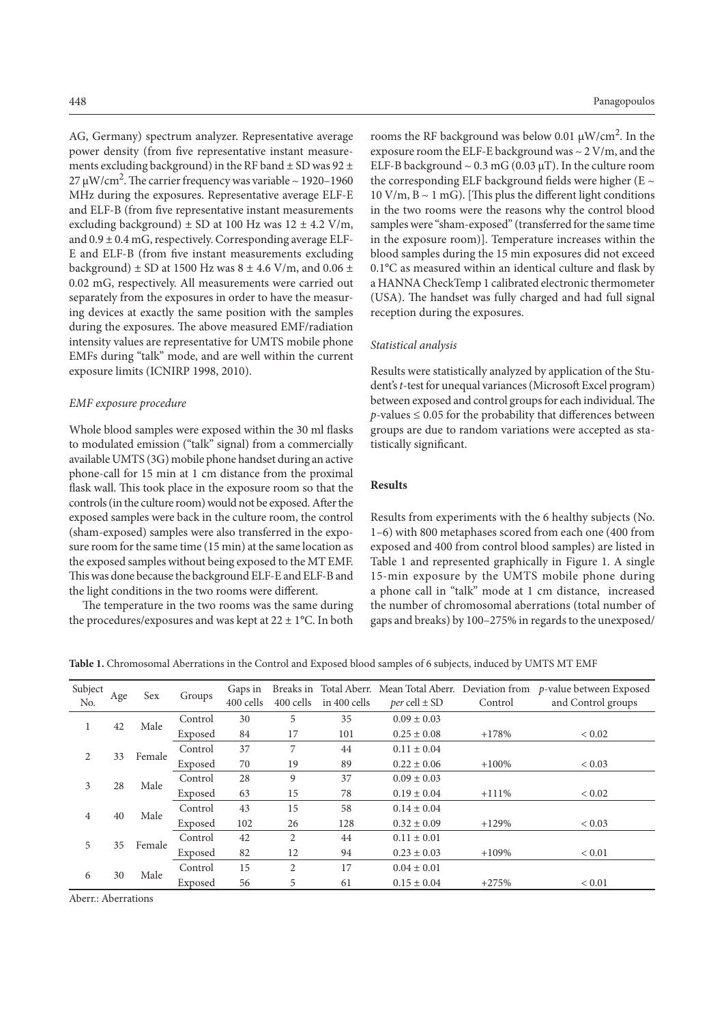AG, Germany) spectrum analyzer. Representative average power density (from five representative instant measurements excluding background) in the RF band  $\pm$  SD was 92  $\pm$ 27 μW/cm<sup>2</sup>. The carrier frequency was variable ~ 1920-1960 MHz during the exposures. Representative average ELF-E and ELF-B (from five representative instant measurements excluding background)  $\pm$  SD at 100 Hz was 12  $\pm$  4.2 V/m, and  $0.9 \pm 0.4$  mG, respectively. Corresponding average ELF-E and ELF-B (from five instant measurements excluding background)  $\pm$  SD at 1500 Hz was 8  $\pm$  4.6 V/m, and 0.06  $\pm$ 0.02 mG, respectively. All measurements were carried out separately from the exposures in order to have the measuring devices at exactly the same position with the samples during the exposures. The above measured EMF/radiation intensity values are representative for UMTS mobile phone EMFs during "talk" mode, and are well within the current exposure limits (ICNIRP 1998, 2010).

## *EMF exposure procedure*

Whole blood samples were exposed within the 30 ml flasks to modulated emission ("talk" signal) from a commercially available UMTS (3G) mobile phone handset during an active phone-call for 15 min at 1 cm distance from the proximal flask wall. This took place in the exposure room so that the controls (in the culture room) would not be exposed. After the exposed samples were back in the culture room, the control (sham-exposed) samples were also transferred in the exposure room for the same time (15 min) at the same location as the exposed samples without being exposed to the MT EMF. This was done because the background ELF-E and ELF-B and the light conditions in the two rooms were different.

The temperature in the two rooms was the same during the procedures/exposures and was kept at  $22 \pm 1$ °C. In both

rooms the RF background was below 0.01  $\mu$ W/cm<sup>2</sup>. In the exposure room the ELF-E background was ~ 2 V/m, and the ELF-B background  $\sim 0.3$  mG (0.03  $\mu$ T). In the culture room the corresponding ELF background fields were higher (E  $\sim$  $10 \text{ V/m}, B \sim 1 \text{ mG}$ . [This plus the different light conditions in the two rooms were the reasons why the control blood samples were "sham-exposed" (transferred for the same time in the exposure room)]. Temperature increases within the blood samples during the 15 min exposures did not exceed 0.1°C as measured within an identical culture and flask by a HANNA CheckTemp 1 calibrated electronic thermometer (USA). The handset was fully charged and had full signal reception during the exposures.

## *Statistical analysis*

Results were statistically analyzed by application of the Student's *t*-test for unequal variances (Microsoft Excel program) between exposed and control groups for each individual. The  $p$ -values  $\leq$  0.05 for the probability that differences between groups are due to random variations were accepted as statistically significant.

# **Results**

Results from experiments with the 6 healthy subjects (No. 1–6) with 800 metaphases scored from each one (400 from exposed and 400 from control blood samples) are listed in Table 1 and represented graphically in Figure 1. A single 15-min exposure by the UMTS mobile phone during a phone call in "talk" mode at 1 cm distance, increased the number of chromosomal aberrations (total number of gaps and breaks) by 100–275% in regards to the unexposed/

**Table 1.** Chromosomal Aberrations in the Control and Exposed blood samples of 6 subjects, induced by UMTS MT EMF

| Subject<br>No. | Age | Sex    | Groups  | Gaps in<br>400 cells | 400 cells      | in 400 cells | <i>per</i> cell $\pm$ SD | Control  | Breaks in Total Aberr. Mean Total Aberr. Deviation from $p$ -value between Exposed<br>and Control groups |
|----------------|-----|--------|---------|----------------------|----------------|--------------|--------------------------|----------|----------------------------------------------------------------------------------------------------------|
| Τ.             | 42  | Male   | Control | 30                   | 5              | 35           | $0.09 \pm 0.03$          |          |                                                                                                          |
|                |     |        | Exposed | 84                   | 17             | 101          | $0.25 \pm 0.08$          | $+178%$  | ${}< 0.02$                                                                                               |
| 2              | 33  | Female | Control | 37                   | 7              | 44           | $0.11 \pm 0.04$          |          |                                                                                                          |
|                |     |        | Exposed | 70                   | 19             | 89           | $0.22 \pm 0.06$          | $+100%$  | ${}< 0.03$                                                                                               |
| 3              | 28  | Male   | Control | 28                   | 9              | 37           | $0.09 \pm 0.03$          |          |                                                                                                          |
|                |     |        | Exposed | 63                   | 15             | 78           | $0.19 \pm 0.04$          | $+111\%$ | ${}< 0.02$                                                                                               |
| $\overline{4}$ | 40  | Male   | Control | 43                   | 15             | 58           | $0.14 \pm 0.04$          |          |                                                                                                          |
|                |     |        | Exposed | 102                  | 26             | 128          | $0.32 \pm 0.09$          | $+129%$  | ${}< 0.03$                                                                                               |
| 5              | 35  | Female | Control | 42                   | $\overline{c}$ | 44           | $0.11 \pm 0.01$          |          |                                                                                                          |
|                |     |        | Exposed | 82                   | 12             | 94           | $0.23 \pm 0.03$          | $+109%$  | ${}< 0.01$                                                                                               |
| 6              | 30  | Male   | Control | 15                   | 2              | 17           | $0.04 \pm 0.01$          |          |                                                                                                          |
|                |     |        | Exposed | 56                   | 5              | 61           | $0.15 \pm 0.04$          | $+275%$  | ${}< 0.01$                                                                                               |

Aberr.: Aberrations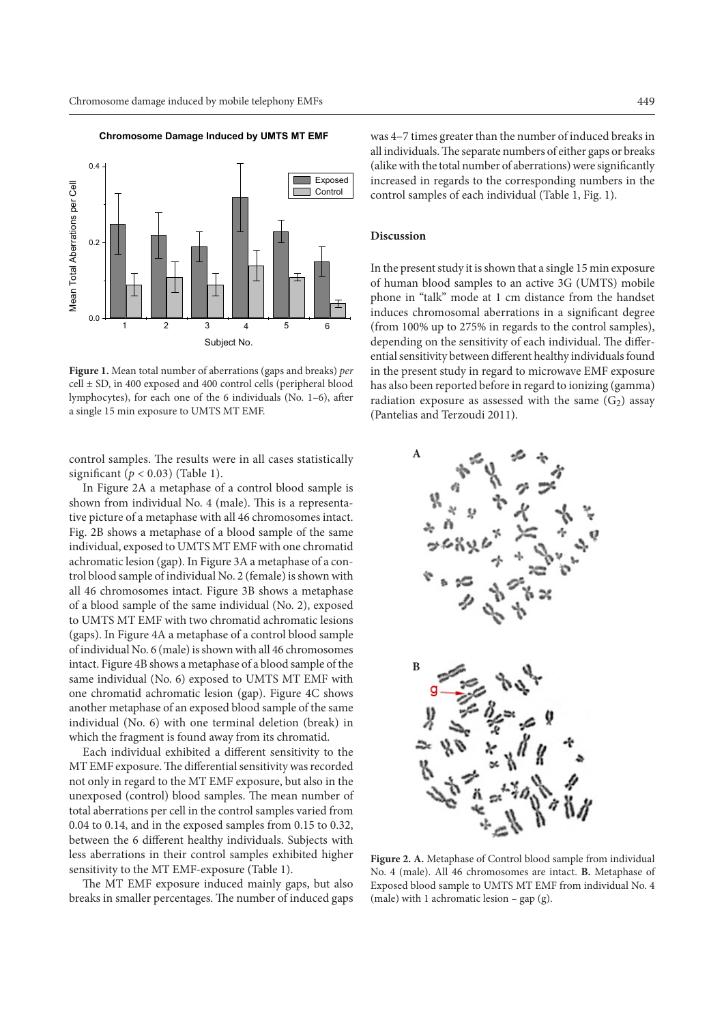

**Chromosome Damage Induced by UMTS MT EMF**

**Figure 1.** Mean total number of aberrations (gaps and breaks) *per*  $cell \pm SD$ , in 400 exposed and 400 control cells (peripheral blood lymphocytes), for each one of the 6 individuals (No. 1–6), after a single 15 min exposure to UMTS MT EMF.

control samples. The results were in all cases statistically significant  $(p < 0.03)$  (Table 1).

In Figure 2A a metaphase of a control blood sample is shown from individual No. 4 (male). This is a representative picture of a metaphase with all 46 chromosomes intact. Fig. 2B shows a metaphase of a blood sample of the same individual, exposed to UMTS MT EMF with one chromatid achromatic lesion (gap). In Figure 3A a metaphase of a control blood sample of individual No. 2 (female) is shown with all 46 chromosomes intact. Figure 3B shows a metaphase of a blood sample of the same individual (No. 2), exposed to UMTS MT EMF with two chromatid achromatic lesions (gaps). In Figure 4A a metaphase of a control blood sample of individual No. 6 (male) is shown with all 46 chromosomes intact. Figure 4B shows a metaphase of a blood sample of the same individual (No. 6) exposed to UMTS MT EMF with one chromatid achromatic lesion (gap). Figure 4C shows another metaphase of an exposed blood sample of the same individual (No. 6) with one terminal deletion (break) in which the fragment is found away from its chromatid.

Each individual exhibited a different sensitivity to the MT EMF exposure. The differential sensitivity was recorded not only in regard to the MT EMF exposure, but also in the unexposed (control) blood samples. The mean number of total aberrations per cell in the control samples varied from 0.04 to 0.14, and in the exposed samples from 0.15 to 0.32, between the 6 different healthy individuals. Subjects with less aberrations in their control samples exhibited higher sensitivity to the MT EMF-exposure (Table 1).

The MT EMF exposure induced mainly gaps, but also breaks in smaller percentages. The number of induced gaps

was 4–7 times greater than the number of induced breaks in all individuals. The separate numbers of either gaps or breaks (alike with the total number of aberrations) were significantly increased in regards to the corresponding numbers in the control samples of each individual (Table 1, Fig. 1).

# **Discussion**

In the present study it is shown that a single 15 min exposure of human blood samples to an active 3G (UMTS) mobile phone in "talk" mode at 1 cm distance from the handset induces chromosomal aberrations in a significant degree (from 100% up to 275% in regards to the control samples), depending on the sensitivity of each individual. The differential sensitivity between different healthy individuals found in the present study in regard to microwave EMF exposure has also been reported before in regard to ionizing (gamma) radiation exposure as assessed with the same  $(G<sub>2</sub>)$  assay (Pantelias and Terzoudi 2011).



**Figure 2. A.** Metaphase of Control blood sample from individual No. 4 (male). All 46 chromosomes are intact. **B.** Metaphase of Exposed blood sample to UMTS MT EMF from individual No. 4 (male) with 1 achromatic lesion – gap (g).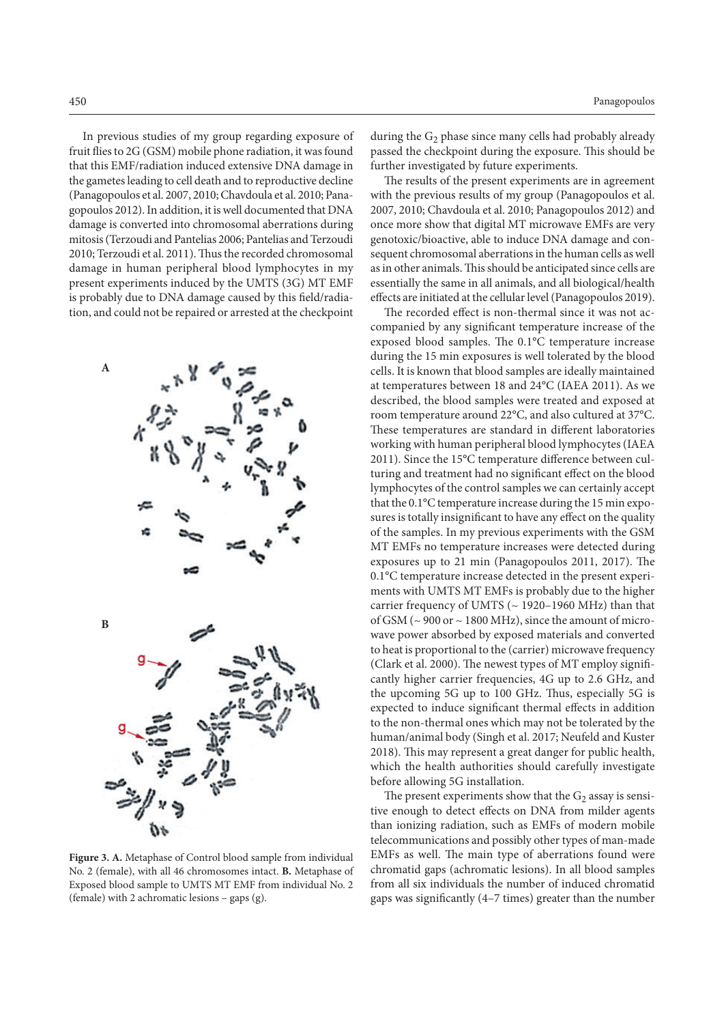In previous studies of my group regarding exposure of fruit flies to 2G (GSM) mobile phone radiation, it was found that this EMF/radiation induced extensive DNA damage in the gametes leading to cell death and to reproductive decline (Panagopoulos et al. 2007, 2010; Chavdoula et al. 2010; Panagopoulos 2012). In addition, it is well documented that DNA damage is converted into chromosomal aberrations during mitosis (Terzoudi and Pantelias 2006; Pantelias and Terzoudi 2010; Terzoudi et al. 2011). Thus the recorded chromosomal damage in human peripheral blood lymphocytes in my present experiments induced by the UMTS (3G) MT EMF is probably due to DNA damage caused by this field/radiation, and could not be repaired or arrested at the checkpoint

**A**



**Figure 3. A.** Metaphase of Control blood sample from individual No. 2 (female), with all 46 chromosomes intact. **B.** Metaphase of Exposed blood sample to UMTS MT EMF from individual No. 2 (female) with 2 achromatic lesions – gaps (g).

during the  $G_2$  phase since many cells had probably already passed the checkpoint during the exposure. This should be further investigated by future experiments.

The results of the present experiments are in agreement with the previous results of my group (Panagopoulos et al. 2007, 2010; Chavdoula et al. 2010; Panagopoulos 2012) and once more show that digital MT microwave EMFs are very genotoxic/bioactive, able to induce DNA damage and consequent chromosomal aberrations in the human cells as well as in other animals. This should be anticipated since cells are essentially the same in all animals, and all biological/health effects are initiated at the cellular level (Panagopoulos 2019).

The recorded effect is non-thermal since it was not accompanied by any significant temperature increase of the exposed blood samples. The 0.1°C temperature increase during the 15 min exposures is well tolerated by the blood cells. It is known that blood samples are ideally maintained at temperatures between 18 and 24°C (IAEA 2011). As we described, the blood samples were treated and exposed at room temperature around 22°C, and also cultured at 37°C. These temperatures are standard in different laboratories working with human peripheral blood lymphocytes (IAEA 2011). Since the 15°C temperature difference between culturing and treatment had no significant effect on the blood lymphocytes of the control samples we can certainly accept that the 0.1°C temperature increase during the 15 min exposures is totally insignificant to have any effect on the quality of the samples. In my previous experiments with the GSM MT EMFs no temperature increases were detected during exposures up to 21 min (Panagopoulos 2011, 2017). The 0.1°C temperature increase detected in the present experiments with UMTS MT EMFs is probably due to the higher carrier frequency of UMTS ( $\sim$  1920–1960 MHz) than that of GSM ( $\sim$  900 or  $\sim$  1800 MHz), since the amount of microwave power absorbed by exposed materials and converted to heat is proportional to the (carrier) microwave frequency (Clark et al. 2000). The newest types of MT employ significantly higher carrier frequencies, 4G up to 2.6 GHz, and the upcoming 5G up to 100 GHz. Thus, especially 5G is expected to induce significant thermal effects in addition to the non-thermal ones which may not be tolerated by the human/animal body (Singh et al. 2017; Neufeld and Kuster 2018). This may represent a great danger for public health, which the health authorities should carefully investigate before allowing 5G installation.

The present experiments show that the  $G_2$  assay is sensitive enough to detect effects on DNA from milder agents than ionizing radiation, such as EMFs of modern mobile telecommunications and possibly other types of man-made EMFs as well. The main type of aberrations found were chromatid gaps (achromatic lesions). In all blood samples from all six individuals the number of induced chromatid gaps was significantly (4–7 times) greater than the number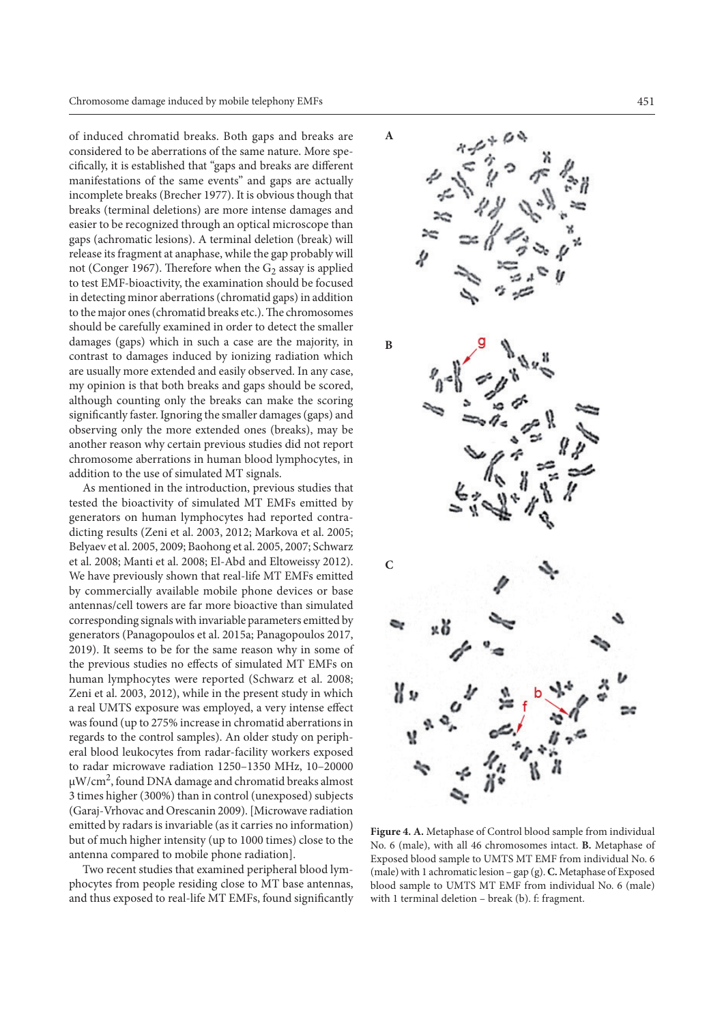of induced chromatid breaks. Both gaps and breaks are considered to be aberrations of the same nature. More specifically, it is established that "gaps and breaks are different manifestations of the same events" and gaps are actually incomplete breaks (Brecher 1977). It is obvious though that breaks (terminal deletions) are more intense damages and easier to be recognized through an optical microscope than gaps (achromatic lesions). A terminal deletion (break) will release its fragment at anaphase, while the gap probably will not (Conger 1967). Therefore when the  $G_2$  assay is applied to test EMF-bioactivity, the examination should be focused in detecting minor aberrations (chromatid gaps) in addition to the major ones (chromatid breaks etc.). The chromosomes should be carefully examined in order to detect the smaller damages (gaps) which in such a case are the majority, in contrast to damages induced by ionizing radiation which are usually more extended and easily observed. In any case, my opinion is that both breaks and gaps should be scored, although counting only the breaks can make the scoring significantly faster. Ignoring the smaller damages (gaps) and observing only the more extended ones (breaks), may be another reason why certain previous studies did not report chromosome aberrations in human blood lymphocytes, in addition to the use of simulated MT signals.

As mentioned in the introduction, previous studies that tested the bioactivity of simulated MT EMFs emitted by generators on human lymphocytes had reported contradicting results (Zeni et al. 2003, 2012; Markova et al. 2005; Belyaev et al. 2005, 2009; Baohong et al. 2005, 2007; Schwarz et al. 2008; Manti et al. 2008; El-Abd and Eltoweissy 2012). We have previously shown that real-life MT EMFs emitted by commercially available mobile phone devices or base antennas/cell towers are far more bioactive than simulated corresponding signals with invariable parameters emitted by generators (Panagopoulos et al. 2015a; Panagopoulos 2017, 2019). It seems to be for the same reason why in some of the previous studies no effects of simulated MT EMFs on human lymphocytes were reported (Schwarz et al. 2008; Zeni et al. 2003, 2012), while in the present study in which a real UMTS exposure was employed, a very intense effect was found (up to 275% increase in chromatid aberrations in regards to the control samples). An older study on peripheral blood leukocytes from radar-facility workers exposed to radar microwave radiation 1250–1350 MHz, 10–20000  $\mu$ W/cm<sup>2</sup>, found DNA damage and chromatid breaks almost 3 times higher (300%) than in control (unexposed) subjects (Garaj-Vrhovac and Orescanin 2009). [Microwave radiation emitted by radars is invariable (as it carries no information) but of much higher intensity (up to 1000 times) close to the antenna compared to mobile phone radiation].

Two recent studies that examined peripheral blood lymphocytes from people residing close to MT base antennas, and thus exposed to real-life MT EMFs, found significantly



**Figure 4. A.** Metaphase of Control blood sample from individual No. 6 (male), with all 46 chromosomes intact. **B.** Metaphase of Exposed blood sample to UMTS MT EMF from individual No. 6 (male) with 1 achromatic lesion – gap (g). **C.** Metaphase of Exposed blood sample to UMTS MT EMF from individual No. 6 (male) with 1 terminal deletion – break (b). f: fragment.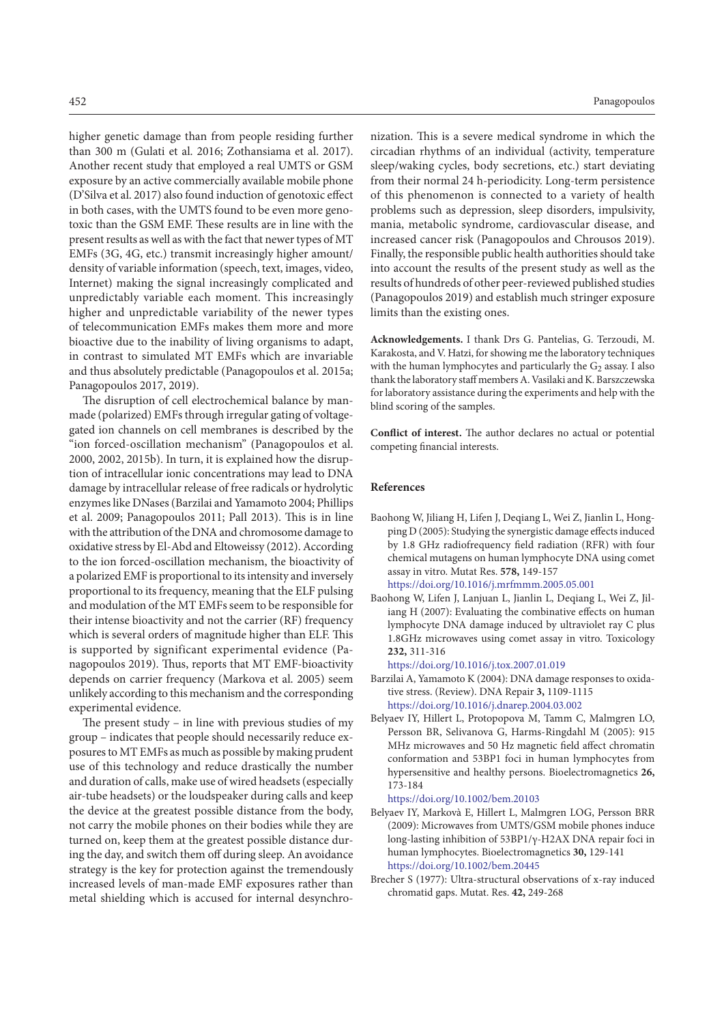higher genetic damage than from people residing further than 300 m (Gulati et al. 2016; Zothansiama et al. 2017). Another recent study that employed a real UMTS or GSM exposure by an active commercially available mobile phone (D'Silva et al. 2017) also found induction of genotoxic effect in both cases, with the UMTS found to be even more genotoxic than the GSM EMF. These results are in line with the present results as well as with the fact that newer types of MT EMFs (3G, 4G, etc.) transmit increasingly higher amount/ density of variable information (speech, text, images, video, Internet) making the signal increasingly complicated and unpredictably variable each moment. This increasingly higher and unpredictable variability of the newer types of telecommunication EMFs makes them more and more bioactive due to the inability of living organisms to adapt, in contrast to simulated MT EMFs which are invariable and thus absolutely predictable (Panagopoulos et al. 2015a; Panagopoulos 2017, 2019).

The disruption of cell electrochemical balance by manmade (polarized) EMFs through irregular gating of voltagegated ion channels on cell membranes is described by the "ion forced-oscillation mechanism" (Panagopoulos et al. 2000, 2002, 2015b). In turn, it is explained how the disruption of intracellular ionic concentrations may lead to DNA damage by intracellular release of free radicals or hydrolytic enzymes like DNases (Barzilai and Yamamoto 2004; Phillips et al. 2009; Panagopoulos 2011; Pall 2013). This is in line with the attribution of the DNA and chromosome damage to oxidative stress by El-Abd and Eltoweissy (2012). According to the ion forced-oscillation mechanism, the bioactivity of a polarized EMF is proportional to its intensity and inversely proportional to its frequency, meaning that the ELF pulsing and modulation of the MT EMFs seem to be responsible for their intense bioactivity and not the carrier (RF) frequency which is several orders of magnitude higher than ELF. This is supported by significant experimental evidence (Panagopoulos 2019). Thus, reports that MT EMF-bioactivity depends on carrier frequency (Markova et al. 2005) seem unlikely according to this mechanism and the corresponding experimental evidence.

The present study – in line with previous studies of my group – indicates that people should necessarily reduce exposures to MT EMFs as much as possible by making prudent use of this technology and reduce drastically the number and duration of calls, make use of wired headsets (especially air-tube headsets) or the loudspeaker during calls and keep the device at the greatest possible distance from the body, not carry the mobile phones on their bodies while they are turned on, keep them at the greatest possible distance during the day, and switch them off during sleep. An avoidance strategy is the key for protection against the tremendously increased levels of man-made EMF exposures rather than metal shielding which is accused for internal desynchro-

nization. This is a severe medical syndrome in which the circadian rhythms of an individual (activity, temperature sleep/waking cycles, body secretions, etc.) start deviating from their normal 24 h-periodicity. Long-term persistence of this phenomenon is connected to a variety of health problems such as depression, sleep disorders, impulsivity, mania, metabolic syndrome, cardiovascular disease, and increased cancer risk (Panagopoulos and Chrousos 2019). Finally, the responsible public health authorities should take into account the results of the present study as well as the results of hundreds of other peer-reviewed published studies (Panagopoulos 2019) and establish much stringer exposure limits than the existing ones.

**Acknowledgements.** I thank Drs G. Pantelias, G. Terzoudi, M. Karakosta, and V. Hatzi, for showing me the laboratory techniques with the human lymphocytes and particularly the  $G_2$  assay. I also thank the laboratory staff members A. Vasilaki and K. Barszczewska for laboratory assistance during the experiments and help with the blind scoring of the samples.

**Conflict of interest.** The author declares no actual or potential competing financial interests.

## **References**

- Baohong W, Jiliang H, Lifen J, Deqiang L, Wei Z, Jianlin L, Hongping D (2005): Studying the synergistic damage effects induced by 1.8 GHz radiofrequency field radiation (RFR) with four chemical mutagens on human lymphocyte DNA using comet assay in vitro. Mutat Res. **578,** 149‐157 <https://doi.org/10.1016/j.mrfmmm.2005.05.001>
- Baohong W, Lifen J, Lanjuan L, Jianlin L, Deqiang L, Wei Z, Jiliang H (2007): Evaluating the combinative effects on human lymphocyte DNA damage induced by ultraviolet ray C plus 1.8GHz microwaves using comet assay in vitro. Toxicology **232,** 311‐316

<https://doi.org/10.1016/j.tox.2007.01.019>

- Barzilai A, Yamamoto K (2004): DNA damage responses to oxidative stress. (Review). DNA Repair **3,** 1109-1115 <https://doi.org/10.1016/j.dnarep.2004.03.002>
- Belyaev IY, Hillert L, Protopopova M, Tamm C, Malmgren LO, Persson BR, Selivanova G, Harms‐Ringdahl M (2005): 915 MHz microwaves and 50 Hz magnetic field affect chromatin conformation and 53BP1 foci in human lymphocytes from hypersensitive and healthy persons. Bioelectromagnetics **26,** 173-184

<https://doi.org/10.1002/bem.20103>

- Belyaev IY, Markovà E, Hillert L, Malmgren LOG, Persson BRR (2009): Microwaves from UMTS/GSM mobile phones induce long‐lasting inhibition of 53BP1/γ‐H2AX DNA repair foci in human lymphocytes. Bioelectromagnetics **30,** 129-141 <https://doi.org/10.1002/bem.20445>
- Brecher S (1977): Ultra-structural observations of x-ray induced chromatid gaps. Mutat. Res. **42,** 249-268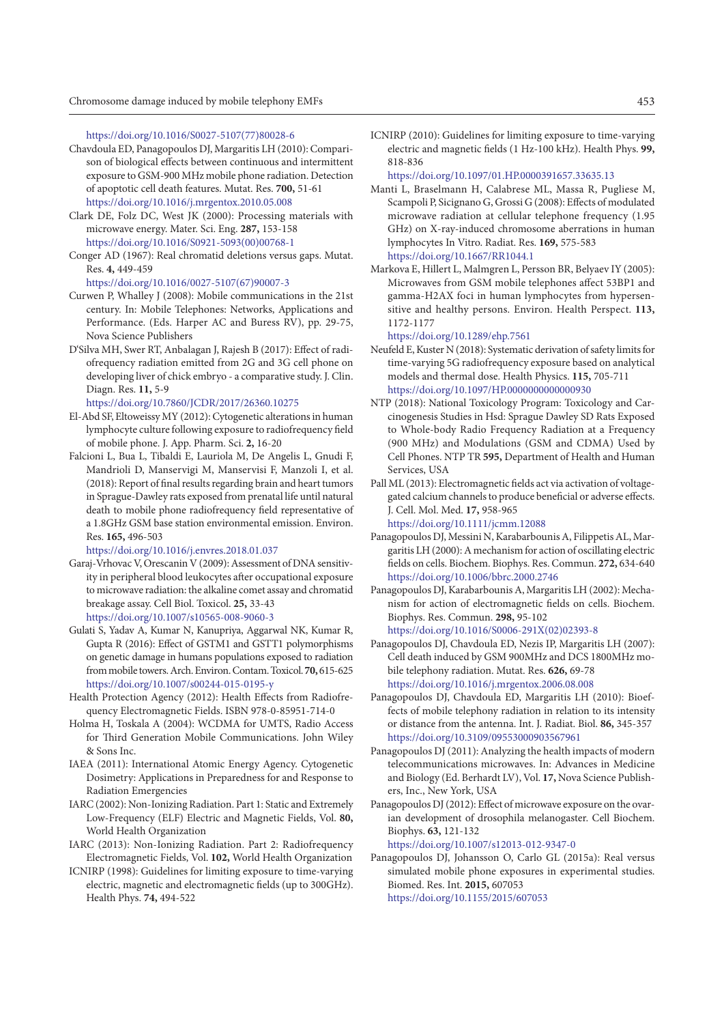[https://doi.org/10.1016/S0027-5107\(77\)80028-6](https://doi.org/10.1016/S0027-5107(77)80028-6)

- Chavdoula ED, Panagopoulos DJ, Margaritis LH (2010): Comparison of biological effects between continuous and intermittent exposure to GSM-900 MHz mobile phone radiation. Detection of apoptotic cell death features. Mutat. Res. **700,** 51-61 <https://doi.org/10.1016/j.mrgentox.2010.05.008>
- Clark DE, Folz DC, West JK (2000): Processing materials with microwave energy. Mater. Sci. Eng. **287,** 153-158 [https://doi.org/10.1016/S0921-5093\(00\)00768-1](https://doi.org/10.1016/S0921-5093(00)00768-1)
- Conger AD (1967): Real chromatid deletions versus gaps. Mutat. Res. **4,** 449-459

[https://doi.org/10.1016/0027-5107\(67\)90007-3](https://doi.org/10.1016/0027-5107(67)90007-3)

- Curwen P, Whalley J (2008): Mobile communications in the 21st century. In: Mobile Telephones: Networks, Applications and Performance. (Eds. Harper AC and Buress RV), pp. 29-75, Nova Science Publishers
- D'Silva MH, Swer RT, Anbalagan J, Rajesh B (2017): Effect of radiofrequency radiation emitted from 2G and 3G cell phone on developing liver of chick embryo - a comparative study. J. Clin. Diagn. Res. **11,** 5-9

<https://doi.org/10.7860/JCDR/2017/26360.10275>

- El-Abd SF, Eltoweissy MY (2012): Cytogenetic alterations in human lymphocyte culture following exposure to radiofrequency field of mobile phone. J. App. Pharm. Sci. **2,** 16-20
- Falcioni L, Bua L, Tibaldi E, Lauriola M, De Angelis L, Gnudi F, Mandrioli D, Manservigi M, Manservisi F, Manzoli I, et al. (2018): Report of final results regarding brain and heart tumors in Sprague-Dawley rats exposed from prenatal life until natural death to mobile phone radiofrequency field representative of a 1.8GHz GSM base station environmental emission. Environ. Res. **165,** 496-503

<https://doi.org/10.1016/j.envres.2018.01.037>

- Garaj-Vrhovac V, Orescanin V (2009): Assessment of DNA sensitivity in peripheral blood leukocytes after occupational exposure to microwave radiation: the alkaline comet assay and chromatid breakage assay. Cell Biol. Toxicol. **25,** 33-43 <https://doi.org/10.1007/s10565-008-9060-3>
- Gulati S, Yadav A, Kumar N, Kanupriya, Aggarwal NK, Kumar R, Gupta R (2016): Effect of GSTM1 and GSTT1 polymorphisms on genetic damage in humans populations exposed to radiation from mobile towers. Arch. Environ. Contam. Toxicol. **70,** 615-625 <https://doi.org/10.1007/s00244-015-0195-y>
- Health Protection Agency (2012): Health Effects from Radiofrequency Electromagnetic Fields. ISBN 978-0-85951-714-0
- Holma H, Toskala A (2004): WCDMA for UMTS, Radio Access for Third Generation Mobile Communications. John Wiley & Sons Inc.
- IAEA (2011): International Atomic Energy Agency. Cytogenetic Dosimetry: Applications in Preparedness for and Response to Radiation Emergencies
- IARC (2002): Non-Ionizing Radiation. Part 1: Static and Extremely Low-Frequency (ELF) Electric and Magnetic Fields, Vol. **80,** World Health Organization
- IARC (2013): Non-Ionizing Radiation. Part 2: Radiofrequency Electromagnetic Fields, Vol. **102,** World Health Organization
- ICNIRP (1998): Guidelines for limiting exposure to time-varying electric, magnetic and electromagnetic fields (up to 300GHz). Health Phys. **74,** 494-522

ICNIRP (2010): Guidelines for limiting exposure to time-varying electric and magnetic fields (1 Hz-100 kHz). Health Phys. **99,** 818‐836

<https://doi.org/10.1097/01.HP.0000391657.33635.13>

- Manti L, Braselmann H, Calabrese ML, Massa R, Pugliese M, Scampoli P, Sicignano G, Grossi G (2008): Effects of modulated microwave radiation at cellular telephone frequency (1.95 GHz) on X-ray-induced chromosome aberrations in human lymphocytes In Vitro. Radiat. Res. **169,** 575-583 <https://doi.org/10.1667/RR1044.1>
- Markova E, Hillert L, Malmgren L, Persson BR, Belyaev IY (2005): Microwaves from GSM mobile telephones affect 53BP1 and gamma-H2AX foci in human lymphocytes from hypersensitive and healthy persons. Environ. Health Perspect. **113,** 1172-1177

<https://doi.org/10.1289/ehp.7561>

- Neufeld E, Kuster N (2018): Systematic derivation of safety limits for time-varying 5G radiofrequency exposure based on analytical models and thermal dose. Health Physics. **115,** 705-711 <https://doi.org/10.1097/HP.0000000000000930>
- NTP (2018): National Toxicology Program: Toxicology and Carcinogenesis Studies in Hsd: Sprague Dawley SD Rats Exposed to Whole-body Radio Frequency Radiation at a Frequency (900 MHz) and Modulations (GSM and CDMA) Used by Cell Phones. NTP TR **595,** Department of Health and Human Services, USA
- Pall ML (2013): Electromagnetic fields act via activation of voltagegated calcium channels to produce beneficial or adverse effects. J. Cell. Mol. Med. **17,** 958-965 <https://doi.org/10.1111/jcmm.12088>

Panagopoulos DJ, Messini N, Karabarbounis A, Filippetis AL, Margaritis LH (2000): A mechanism for action of oscillating electric

- fields on cells. Biochem. Biophys. Res. Commun. **272,** 634-640 <https://doi.org/10.1006/bbrc.2000.2746> Panagopoulos DJ, Karabarbounis A, Margaritis LH (2002): Mecha-
- nism for action of electromagnetic fields on cells. Biochem. Biophys. Res. Commun. **298,** 95-102 [https://doi.org/10.1016/S0006-291X\(02\)02393-8](https://doi.org/10.1016/S0006-291X(02)02393-8)
- Panagopoulos DJ, Chavdoula ED, Nezis IP, Margaritis LH (2007): Cell death induced by GSM 900MHz and DCS 1800MHz mobile telephony radiation. Mutat. Res. **626,** 69-78 <https://doi.org/10.1016/j.mrgentox.2006.08.008>
- Panagopoulos DJ, Chavdoula ED, Margaritis LH (2010): Bioeffects of mobile telephony radiation in relation to its intensity or distance from the antenna. Int. J. Radiat. Biol. **86,** 345-357 <https://doi.org/10.3109/09553000903567961>
- Panagopoulos DJ (2011): Analyzing the health impacts of modern telecommunications microwaves. In: Advances in Medicine and Biology (Ed. Berhardt LV), Vol. **17,** Nova Science Publishers, Inc., New York, USA
- Panagopoulos DJ (2012): Effect of microwave exposure on the ovarian development of drosophila melanogaster. Cell Biochem. Biophys. **63,** 121-132

<https://doi.org/10.1007/s12013-012-9347-0>

Panagopoulos DJ, Johansson O, Carlo GL (2015a): Real versus simulated mobile phone exposures in experimental studies. Biomed. Res. Int. **2015,** 607053 <https://doi.org/10.1155/2015/607053>